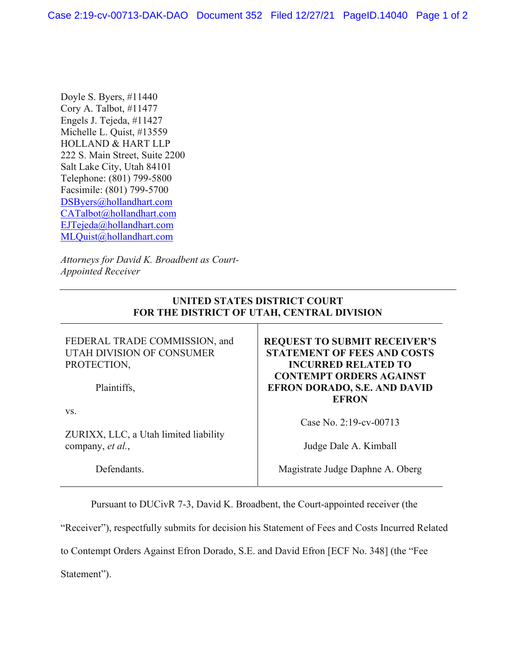Doyle S. Byers, #11440 Cory A. Talbot, #11477 Engels J. Tejeda, #11427 Michelle L. Quist, #13559 HOLLAND & HART LLP 222 S. Main Street, Suite 2200 Salt Lake City, Utah 84101 Telephone: (801) 799-5800 Facsimile: (801) 799-5700 DSByers@hollandhart.com CATalbot@hollandhart.com EJTejeda@hollandhart.com MLQuist@hollandhart.com

*Attorneys for David K. Broadbent as Court-Appointed Receiver* 

## **UNITED STATES DISTRICT COURT FOR THE DISTRICT OF UTAH, CENTRAL DIVISION**

FEDERAL TRADE COMMISSION, and UTAH DIVISION OF CONSUMER PROTECTION,

Plaintiffs,

vs.

ZURIXX, LLC, a Utah limited liability company, *et al.*,

Defendants.

**REQUEST TO SUBMIT RECEIVER'S STATEMENT OF FEES AND COSTS INCURRED RELATED TO CONTEMPT ORDERS AGAINST EFRON DORADO, S.E. AND DAVID EFRON** 

Case No. 2:19-cv-00713

Judge Dale A. Kimball

Magistrate Judge Daphne A. Oberg

Pursuant to DUCivR 7-3, David K. Broadbent, the Court-appointed receiver (the

"Receiver"), respectfully submits for decision his Statement of Fees and Costs Incurred Related

to Contempt Orders Against Efron Dorado, S.E. and David Efron [ECF No. 348] (the "Fee

Statement").